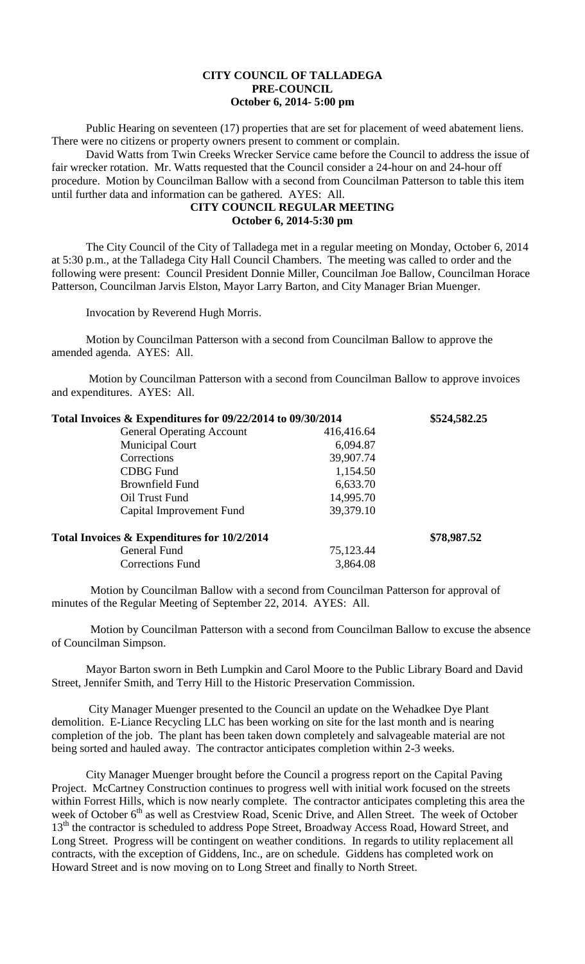## **CITY COUNCIL OF TALLADEGA PRE-COUNCIL October 6, 2014- 5:00 pm**

Public Hearing on seventeen (17) properties that are set for placement of weed abatement liens. There were no citizens or property owners present to comment or complain.

David Watts from Twin Creeks Wrecker Service came before the Council to address the issue of fair wrecker rotation. Mr. Watts requested that the Council consider a 24-hour on and 24-hour off procedure. Motion by Councilman Ballow with a second from Councilman Patterson to table this item until further data and information can be gathered. AYES: All.

## **CITY COUNCIL REGULAR MEETING October 6, 2014-5:30 pm**

The City Council of the City of Talladega met in a regular meeting on Monday, October 6, 2014 at 5:30 p.m., at the Talladega City Hall Council Chambers. The meeting was called to order and the following were present: Council President Donnie Miller, Councilman Joe Ballow, Councilman Horace Patterson, Councilman Jarvis Elston, Mayor Larry Barton, and City Manager Brian Muenger.

Invocation by Reverend Hugh Morris.

Motion by Councilman Patterson with a second from Councilman Ballow to approve the amended agenda. AYES: All.

Motion by Councilman Patterson with a second from Councilman Ballow to approve invoices and expenditures. AYES: All.

| Total Invoices & Expenditures for 09/22/2014 to 09/30/2014 |            | \$524,582.25 |
|------------------------------------------------------------|------------|--------------|
| <b>General Operating Account</b>                           | 416,416.64 |              |
| <b>Municipal Court</b>                                     | 6,094.87   |              |
| Corrections                                                | 39,907.74  |              |
| <b>CDBG</b> Fund                                           | 1,154.50   |              |
| <b>Brownfield Fund</b>                                     | 6,633.70   |              |
| Oil Trust Fund                                             | 14,995.70  |              |
| Capital Improvement Fund                                   | 39,379.10  |              |
| Total Invoices & Expenditures for 10/2/2014                |            | \$78,987.52  |
| General Fund                                               | 75,123.44  |              |
| <b>Corrections Fund</b>                                    | 3,864.08   |              |
|                                                            |            |              |

Motion by Councilman Ballow with a second from Councilman Patterson for approval of minutes of the Regular Meeting of September 22, 2014. AYES: All.

Motion by Councilman Patterson with a second from Councilman Ballow to excuse the absence of Councilman Simpson.

Mayor Barton sworn in Beth Lumpkin and Carol Moore to the Public Library Board and David Street, Jennifer Smith, and Terry Hill to the Historic Preservation Commission.

City Manager Muenger presented to the Council an update on the Wehadkee Dye Plant demolition. E-Liance Recycling LLC has been working on site for the last month and is nearing completion of the job. The plant has been taken down completely and salvageable material are not being sorted and hauled away. The contractor anticipates completion within 2-3 weeks.

City Manager Muenger brought before the Council a progress report on the Capital Paving Project. McCartney Construction continues to progress well with initial work focused on the streets within Forrest Hills, which is now nearly complete. The contractor anticipates completing this area the week of October 6<sup>th</sup> as well as Crestview Road, Scenic Drive, and Allen Street. The week of October 13<sup>th</sup> the contractor is scheduled to address Pope Street, Broadway Access Road, Howard Street, and Long Street. Progress will be contingent on weather conditions. In regards to utility replacement all contracts, with the exception of Giddens, Inc., are on schedule. Giddens has completed work on Howard Street and is now moving on to Long Street and finally to North Street.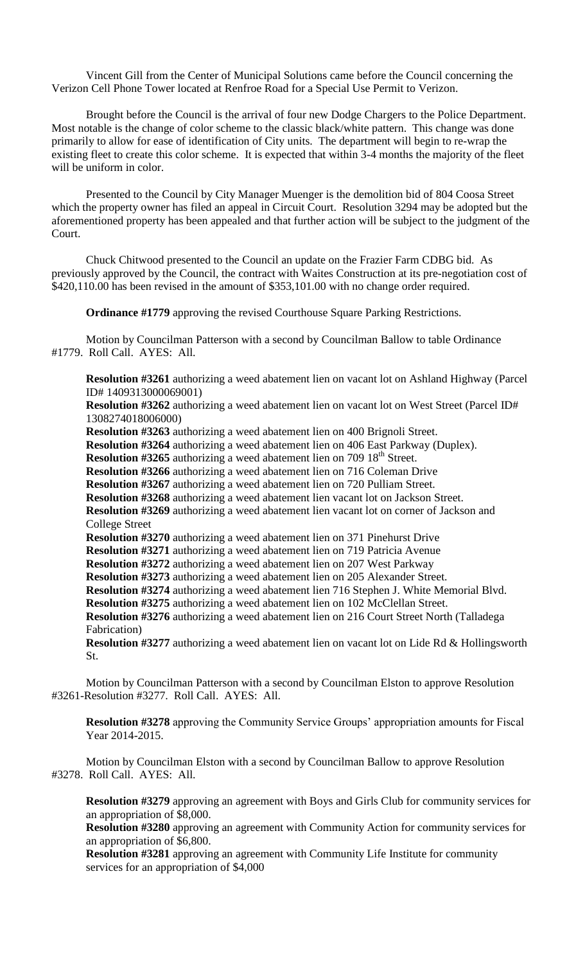Vincent Gill from the Center of Municipal Solutions came before the Council concerning the Verizon Cell Phone Tower located at Renfroe Road for a Special Use Permit to Verizon.

Brought before the Council is the arrival of four new Dodge Chargers to the Police Department. Most notable is the change of color scheme to the classic black/white pattern. This change was done primarily to allow for ease of identification of City units. The department will begin to re-wrap the existing fleet to create this color scheme. It is expected that within 3-4 months the majority of the fleet will be uniform in color.

Presented to the Council by City Manager Muenger is the demolition bid of 804 Coosa Street which the property owner has filed an appeal in Circuit Court. Resolution 3294 may be adopted but the aforementioned property has been appealed and that further action will be subject to the judgment of the Court.

Chuck Chitwood presented to the Council an update on the Frazier Farm CDBG bid. As previously approved by the Council, the contract with Waites Construction at its pre-negotiation cost of \$420,110.00 has been revised in the amount of \$353,101.00 with no change order required.

**Ordinance #1779** approving the revised Courthouse Square Parking Restrictions.

Motion by Councilman Patterson with a second by Councilman Ballow to table Ordinance #1779. Roll Call. AYES: All.

**Resolution #3261** authorizing a weed abatement lien on vacant lot on Ashland Highway (Parcel ID# 1409313000069001)

**Resolution #3262** authorizing a weed abatement lien on vacant lot on West Street (Parcel ID# 1308274018006000)

**Resolution #3263** authorizing a weed abatement lien on 400 Brignoli Street.

**Resolution #3264** authorizing a weed abatement lien on 406 East Parkway (Duplex).

**Resolution #3265** authorizing a weed abatement lien on 709 18<sup>th</sup> Street.

**Resolution #3266** authorizing a weed abatement lien on 716 Coleman Drive

**Resolution #3267** authorizing a weed abatement lien on 720 Pulliam Street.

**Resolution #3268** authorizing a weed abatement lien vacant lot on Jackson Street.

**Resolution #3269** authorizing a weed abatement lien vacant lot on corner of Jackson and College Street

**Resolution #3270** authorizing a weed abatement lien on 371 Pinehurst Drive

**Resolution #3271** authorizing a weed abatement lien on 719 Patricia Avenue

**Resolution #3272** authorizing a weed abatement lien on 207 West Parkway

**Resolution #3273** authorizing a weed abatement lien on 205 Alexander Street.

**Resolution #3274** authorizing a weed abatement lien 716 Stephen J. White Memorial Blvd.

**Resolution #3275** authorizing a weed abatement lien on 102 McClellan Street.

**Resolution #3276** authorizing a weed abatement lien on 216 Court Street North (Talladega Fabrication)

**Resolution #3277** authorizing a weed abatement lien on vacant lot on Lide Rd & Hollingsworth St.

Motion by Councilman Patterson with a second by Councilman Elston to approve Resolution #3261-Resolution #3277. Roll Call. AYES: All.

**Resolution #3278** approving the Community Service Groups' appropriation amounts for Fiscal Year 2014-2015.

Motion by Councilman Elston with a second by Councilman Ballow to approve Resolution #3278. Roll Call. AYES: All.

**Resolution #3279** approving an agreement with Boys and Girls Club for community services for an appropriation of \$8,000.

**Resolution #3280** approving an agreement with Community Action for community services for an appropriation of \$6,800.

**Resolution #3281** approving an agreement with Community Life Institute for community services for an appropriation of \$4,000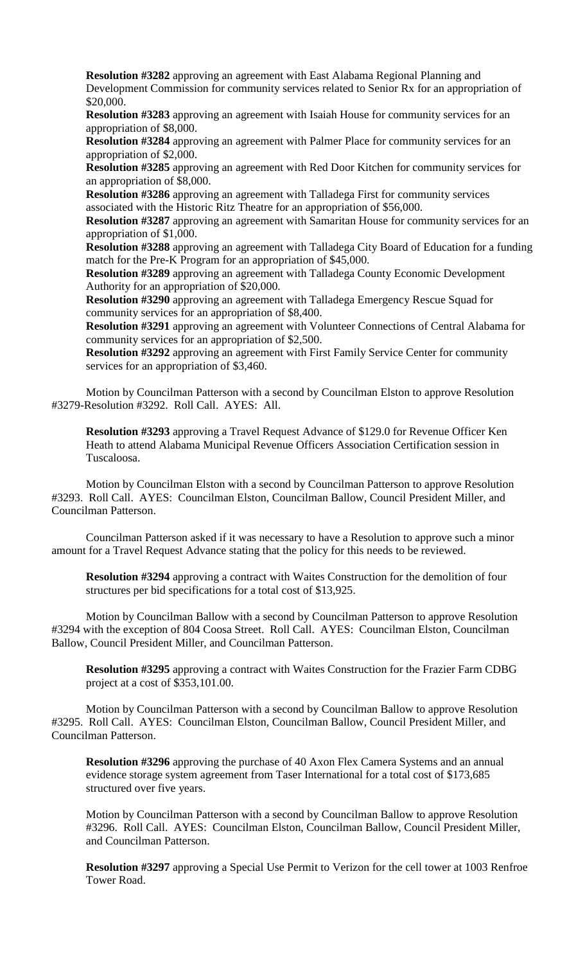**Resolution #3282** approving an agreement with East Alabama Regional Planning and Development Commission for community services related to Senior Rx for an appropriation of \$20,000.

**Resolution #3283** approving an agreement with Isaiah House for community services for an appropriation of \$8,000.

**Resolution #3284** approving an agreement with Palmer Place for community services for an appropriation of \$2,000.

**Resolution #3285** approving an agreement with Red Door Kitchen for community services for an appropriation of \$8,000.

**Resolution #3286** approving an agreement with Talladega First for community services associated with the Historic Ritz Theatre for an appropriation of \$56,000.

**Resolution #3287** approving an agreement with Samaritan House for community services for an appropriation of \$1,000.

**Resolution #3288** approving an agreement with Talladega City Board of Education for a funding match for the Pre-K Program for an appropriation of \$45,000.

**Resolution #3289** approving an agreement with Talladega County Economic Development Authority for an appropriation of \$20,000.

**Resolution #3290** approving an agreement with Talladega Emergency Rescue Squad for community services for an appropriation of \$8,400.

**Resolution #3291** approving an agreement with Volunteer Connections of Central Alabama for community services for an appropriation of \$2,500.

**Resolution #3292** approving an agreement with First Family Service Center for community services for an appropriation of \$3,460.

Motion by Councilman Patterson with a second by Councilman Elston to approve Resolution #3279-Resolution #3292. Roll Call. AYES: All.

**Resolution #3293** approving a Travel Request Advance of \$129.0 for Revenue Officer Ken Heath to attend Alabama Municipal Revenue Officers Association Certification session in Tuscaloosa.

Motion by Councilman Elston with a second by Councilman Patterson to approve Resolution #3293. Roll Call. AYES: Councilman Elston, Councilman Ballow, Council President Miller, and Councilman Patterson.

Councilman Patterson asked if it was necessary to have a Resolution to approve such a minor amount for a Travel Request Advance stating that the policy for this needs to be reviewed.

**Resolution #3294** approving a contract with Waites Construction for the demolition of four structures per bid specifications for a total cost of \$13,925.

Motion by Councilman Ballow with a second by Councilman Patterson to approve Resolution #3294 with the exception of 804 Coosa Street. Roll Call. AYES: Councilman Elston, Councilman Ballow, Council President Miller, and Councilman Patterson.

**Resolution #3295** approving a contract with Waites Construction for the Frazier Farm CDBG project at a cost of \$353,101.00.

Motion by Councilman Patterson with a second by Councilman Ballow to approve Resolution #3295. Roll Call. AYES: Councilman Elston, Councilman Ballow, Council President Miller, and Councilman Patterson.

**Resolution #3296** approving the purchase of 40 Axon Flex Camera Systems and an annual evidence storage system agreement from Taser International for a total cost of \$173,685 structured over five years.

Motion by Councilman Patterson with a second by Councilman Ballow to approve Resolution #3296. Roll Call. AYES: Councilman Elston, Councilman Ballow, Council President Miller, and Councilman Patterson.

**Resolution #3297** approving a Special Use Permit to Verizon for the cell tower at 1003 Renfroe Tower Road.